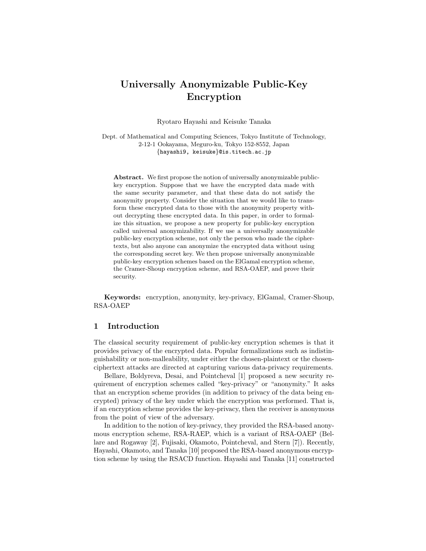# Universally Anonymizable Public-Key Encryption

Ryotaro Hayashi and Keisuke Tanaka

Dept. of Mathematical and Computing Sciences, Tokyo Institute of Technology, 2-12-1 Ookayama, Meguro-ku, Tokyo 152-8552, Japan {hayashi9, keisuke}@is.titech.ac.jp

Abstract. We first propose the notion of universally anonymizable publickey encryption. Suppose that we have the encrypted data made with the same security parameter, and that these data do not satisfy the anonymity property. Consider the situation that we would like to transform these encrypted data to those with the anonymity property without decrypting these encrypted data. In this paper, in order to formalize this situation, we propose a new property for public-key encryption called universal anonymizability. If we use a universally anonymizable public-key encryption scheme, not only the person who made the ciphertexts, but also anyone can anonymize the encrypted data without using the corresponding secret key. We then propose universally anonymizable public-key encryption schemes based on the ElGamal encryption scheme, the Cramer-Shoup encryption scheme, and RSA-OAEP, and prove their security.

Keywords: encryption, anonymity, key-privacy, ElGamal, Cramer-Shoup, RSA-OAEP

## 1 Introduction

The classical security requirement of public-key encryption schemes is that it provides privacy of the encrypted data. Popular formalizations such as indistinguishability or non-malleability, under either the chosen-plaintext or the chosenciphertext attacks are directed at capturing various data-privacy requirements.

Bellare, Boldyreva, Desai, and Pointcheval [1] proposed a new security requirement of encryption schemes called "key-privacy" or "anonymity." It asks that an encryption scheme provides (in addition to privacy of the data being encrypted) privacy of the key under which the encryption was performed. That is, if an encryption scheme provides the key-privacy, then the receiver is anonymous from the point of view of the adversary.

In addition to the notion of key-privacy, they provided the RSA-based anonymous encryption scheme, RSA-RAEP, which is a variant of RSA-OAEP (Bellare and Rogaway [2], Fujisaki, Okamoto, Pointcheval, and Stern [7]). Recently, Hayashi, Okamoto, and Tanaka [10] proposed the RSA-based anonymous encryption scheme by using the RSACD function. Hayashi and Tanaka [11] constructed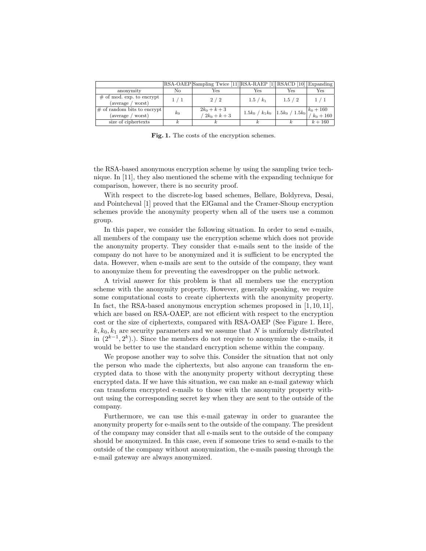|                                                     |       | RSA-OAEP Sampling Twice [11] RSA-RAEP [1] RSACD [10] Expanding |                                                            |         |           |
|-----------------------------------------------------|-------|----------------------------------------------------------------|------------------------------------------------------------|---------|-----------|
| anonymity                                           | No    | Yes                                                            | Yes                                                        | Yes     | Yes       |
| $#$ of mod. exp. to encrypt<br>(average / worst)    | 1/1   | 2/2                                                            | $1.5 / k_1$                                                | 1.5 / 2 | 1/1       |
| $\#$ of random bits to encrypt<br>(average / worst) | $k_0$ | $2k_0 + k + 3$<br>$2k_0 + k + 3$                               | $1.5k_0/k_1k_0$ $1.5k_0/1.5k_0$ $\binom{k_0+160}{k_0+160}$ |         |           |
| size of ciphertexts                                 |       |                                                                |                                                            |         | $k + 160$ |

Fig. 1. The costs of the encryption schemes.

the RSA-based anonymous encryption scheme by using the sampling twice technique. In [11], they also mentioned the scheme with the expanding technique for comparison, however, there is no security proof.

With respect to the discrete-log based schemes, Bellare, Boldyreva, Desai, and Pointcheval [1] proved that the ElGamal and the Cramer-Shoup encryption schemes provide the anonymity property when all of the users use a common group.

In this paper, we consider the following situation. In order to send e-mails, all members of the company use the encryption scheme which does not provide the anonymity property. They consider that e-mails sent to the inside of the company do not have to be anonymized and it is sufficient to be encrypted the data. However, when e-mails are sent to the outside of the company, they want to anonymize them for preventing the eavesdropper on the public network.

A trivial answer for this problem is that all members use the encryption scheme with the anonymity property. However, generally speaking, we require some computational costs to create ciphertexts with the anonymity property. In fact, the RSA-based anonymous encryption schemes proposed in [1, 10, 11], which are based on RSA-OAEP, are not efficient with respect to the encryption cost or the size of ciphertexts, compared with RSA-OAEP (See Figure 1. Here,  $k, k_0, k_1$  are security parameters and we assume that N is uniformly distributed in  $(2^{k-1}, 2^k)$ .). Since the members do not require to anonymize the e-mails, it would be better to use the standard encryption scheme within the company.

We propose another way to solve this. Consider the situation that not only the person who made the ciphertexts, but also anyone can transform the encrypted data to those with the anonymity property without decrypting these encrypted data. If we have this situation, we can make an e-mail gateway which can transform encrypted e-mails to those with the anonymity property without using the corresponding secret key when they are sent to the outside of the company.

Furthermore, we can use this e-mail gateway in order to guarantee the anonymity property for e-mails sent to the outside of the company. The president of the company may consider that all e-mails sent to the outside of the company should be anonymized. In this case, even if someone tries to send e-mails to the outside of the company without anonymization, the e-mails passing through the e-mail gateway are always anonymized.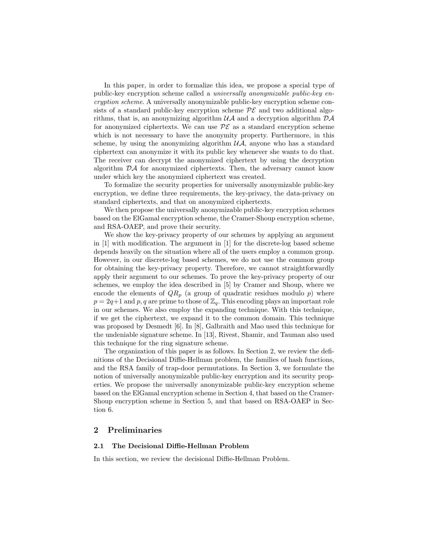In this paper, in order to formalize this idea, we propose a special type of public-key encryption scheme called a universally anonymizable public-key encryption scheme. A universally anonymizable public-key encryption scheme consists of a standard public-key encryption scheme  $\mathcal{PE}$  and two additional algorithms, that is, an anonymizing algorithm  $\mathcal{U}\mathcal{A}$  and a decryption algorithm  $\mathcal{D}\mathcal{A}$ for anonymized ciphertexts. We can use  $\mathcal{P}\mathcal{E}$  as a standard encryption scheme which is not necessary to have the anonymity property. Furthermore, in this scheme, by using the anonymizing algorithm  $\mathcal{U}\mathcal{A}$ , anyone who has a standard ciphertext can anonymize it with its public key whenever she wants to do that. The receiver can decrypt the anonymized ciphertext by using the decryption algorithm DA for anonymized ciphertexts. Then, the adversary cannot know under which key the anonymized ciphertext was created.

To formalize the security properties for universally anonymizable public-key encryption, we define three requirements, the key-privacy, the data-privacy on standard ciphertexts, and that on anonymized ciphertexts.

We then propose the universally anonymizable public-key encryption schemes based on the ElGamal encryption scheme, the Cramer-Shoup encryption scheme, and RSA-OAEP, and prove their security.

We show the key-privacy property of our schemes by applying an argument in [1] with modification. The argument in [1] for the discrete-log based scheme depends heavily on the situation where all of the users employ a common group. However, in our discrete-log based schemes, we do not use the common group for obtaining the key-privacy property. Therefore, we cannot straightforwardly apply their argument to our schemes. To prove the key-privacy property of our schemes, we employ the idea described in [5] by Cramer and Shoup, where we encode the elements of  $QR_p$  (a group of quadratic residues modulo p) where  $p = 2q+1$  and p, q are prime to those of  $\mathbb{Z}_q$ . This encoding plays an important role in our schemes. We also employ the expanding technique. With this technique, if we get the ciphertext, we expand it to the common domain. This technique was proposed by Desmedt [6]. In [8], Galbraith and Mao used this technique for the undeniable signature scheme. In [13], Rivest, Shamir, and Tauman also used this technique for the ring signature scheme.

The organization of this paper is as follows. In Section 2, we review the definitions of the Decisional Diffie-Hellman problem, the families of hash functions, and the RSA family of trap-door permutations. In Section 3, we formulate the notion of universally anonymizable public-key encryption and its security properties. We propose the universally anonymizable public-key encryption scheme based on the ElGamal encryption scheme in Section 4, that based on the Cramer-Shoup encryption scheme in Section 5, and that based on RSA-OAEP in Section 6.

# 2 Preliminaries

#### 2.1 The Decisional Diffie-Hellman Problem

In this section, we review the decisional Diffie-Hellman Problem.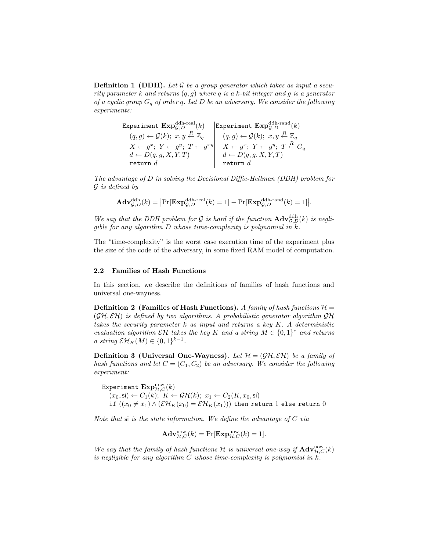**Definition 1 (DDH).** Let  $\mathcal G$  be a group generator which takes as input a security parameter k and returns  $(q, g)$  where q is a k-bit integer and g is a generator of a cyclic group  $G_q$  of order q. Let D be an adversary. We consider the following experiments:

> Experiment  $\mathrm{Exp}^{\mathrm{ddh}\text{-}real}_{\mathcal{G},D}(k)$  [Experiment  $\mathrm{Exp}^{\mathrm{ddh}\text{-}rand}_{\mathcal{G},D}(k)$ (q, g) ← G(k); x, y <sup>R</sup>← Z<sup>q</sup> (q, g) ← G(k); x, y <sup>R</sup>← Z<sup>q</sup>  $X \leftarrow g^x;\; Y \leftarrow g^y;\; T \leftarrow g^{xy} \Big|\quad X \leftarrow g^x;\; Y \leftarrow g^y;\; T \stackrel{R}{\leftarrow} G_q$  $d \leftarrow D(q, g, X, Y, T)$   $d \leftarrow D(q, g, X, Y, T)$ return  $d$   $\qquad$  return  $d$

The advantage of D in solving the Decisional Diffie-Hellman (DDH) problem for  $\mathcal G$  is defined by

$$
\mathbf{Adv}_{\mathcal{G},D}^{\mathrm{ddh}}(k) = \left| \Pr[\mathbf{Exp}_{\mathcal{G},D}^{\mathrm{ddh}\text{-}real}(k) = 1] - \Pr[\mathbf{Exp}_{\mathcal{G},D}^{\mathrm{ddh}\text{-}rand}(k) = 1] \right|.
$$

We say that the DDH problem for G is hard if the function  $\mathbf{Adv}_{\mathcal{G},D}^{\text{ddh}}(k)$  is negliqible for any algorithm  $D$  whose time-complexity is polynomial in  $k$ .

The "time-complexity" is the worst case execution time of the experiment plus the size of the code of the adversary, in some fixed RAM model of computation.

#### 2.2 Families of Hash Functions

In this section, we describe the definitions of families of hash functions and universal one-wayness.

**Definition 2** (Families of Hash Functions). A family of hash functions  $\mathcal{H} =$  $(\mathcal{GH}, \mathcal{EH})$  is defined by two algorithms. A probabilistic generator algorithm  $\mathcal{GH}$ takes the security parameter  $k$  as input and returns a key  $K$ . A deterministic evaluation algorithm  $\mathcal{E}\mathcal{H}$  takes the key K and a string  $M \in \{0,1\}^*$  and returns a string  $\mathcal{EH}_K(M) \in \{0,1\}^{k-1}$ .

**Definition 3 (Universal One-Wayness).** Let  $\mathcal{H} = (\mathcal{GH}, \mathcal{EH})$  be a family of hash functions and let  $C = (C_1, C_2)$  be an adversary. We consider the following experiment:

Experiment  $\mathrm{Exp}_{\mathcal{H},C}^{\mathrm{uow}}(k)$  $(x_0, \textsf{si}) \leftarrow C_1(k); K \leftarrow \mathcal{GH}(k); x_1 \leftarrow C_2(K, x_0, \textsf{si})$ if  $((x_0 \neq x_1) \wedge (\mathcal{EH}_K(x_0) = \mathcal{EH}_K(x_1)))$  then return 1 else return 0

Note that  $\mathbf{s}$  is the state information. We define the advantage of C via

$$
\mathbf{Adv}_{\mathcal{H},C}^{\text{uow}}(k) = \Pr[\mathbf{Exp}_{\mathcal{H},C}^{\text{uow}}(k) = 1].
$$

We say that the family of hash functions H is universal one-way if  $\mathbf{Adv}_{H,C}^{\text{now}}(k)$ is negligible for any algorithm  $C$  whose time-complexity is polynomial in  $k$ .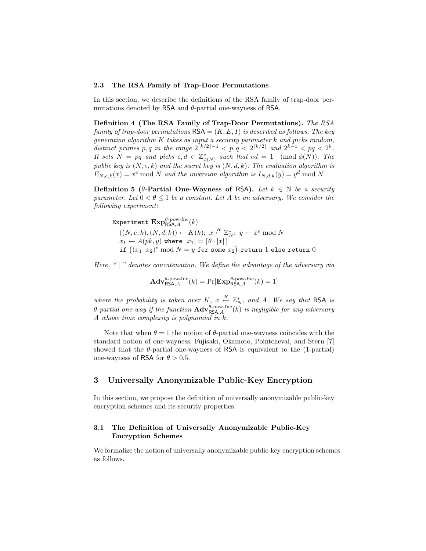#### 2.3 The RSA Family of Trap-Door Permutations

In this section, we describe the definitions of the RSA family of trap-door permutations denoted by  $\textsf{RSA}$  and  $\theta$ -partial one-wayness of  $\textsf{RSA}$ .

Definition 4 (The RSA Family of Trap-Door Permutations). The RSA family of trap-door permutations  $\mathsf{RSA} = (K, E, I)$  is described as follows. The key generation algorithm K takes as input a security parameter k and picks random, distinct primes p, q in the range  $2^{\lceil k/2 \rceil - 1} < p, q < 2^{\lceil k/2 \rceil}$  and  $2^{k-1} < pq < 2^k$ . It sets  $N = pq$  and picks  $e, d \in \mathbb{Z}_{\phi(N)}^*$  such that  $ed = 1 \pmod{\phi(N)}$ . The public key is  $(N, e, k)$  and the secret key is  $(N, d, k)$ . The evaluation algorithm is  $E_{N,e,k}(x) = x^e \bmod N$  and the inversion algorithm is  $I_{N,d,k}(y) = y^d \bmod N$ .

Definition 5 (θ-Partial One-Wayness of RSA). Let  $k \in \mathbb{N}$  be a security parameter. Let  $0 < \theta \leq 1$  be a constant. Let A be an adversary. We consider the following experiment:

Experiment  $\mathrm{Exp}^{\theta\text{-pow-fnc}}_{\mathsf{RSA},A}(k)$  $((N, e, k), (N, d, k)) \leftarrow K(k); x \stackrel{R}{\leftarrow} \mathbb{Z}_N^*; y \leftarrow x^e \bmod N$  $x_1 \leftarrow A(pk, y)$  where  $|x_1| = \lceil \theta \cdot |x| \rceil$  $x_1 \leftarrow A(p\kappa, y)$  where  $|x_1| = |\theta \cdot |x||$ <br>if  $\left( (x_1||x_2)^e \bmod N = y \right.$  for some  $x_2)$  return  $1$  else return  $0$ 

Here, " $||$ " denotes concatenation. We define the advantage of the adversary via

$$
\mathbf{Adv}_{\mathsf{RSA},A}^{\theta\text{-pow-fnc}}(k) = \Pr[\mathbf{Exp}_{\mathsf{RSA},A}^{\theta\text{-pow-fnc}}(k) = 1]
$$

where the probability is taken over K,  $x \stackrel{R}{\leftarrow} \mathbb{Z}_N^*$ , and A. We say that RSA is  $\theta$ -partial one-way if the function  $\mathbf{Adv}_{\mathsf{RSA},A}^{\theta\text{-pow-fnc}}(k)$  is negligible for any adversary A whose time complexity is polynomial in  $k$ .

Note that when  $\theta = 1$  the notion of  $\theta$ -partial one-wayness coincides with the standard notion of one-wayness. Fujisaki, Okamoto, Pointcheval, and Stern [7] showed that the  $\theta$ -partial one-wayness of RSA is equivalent to the (1-partial) one-wayness of RSA for  $\theta > 0.5$ .

# 3 Universally Anonymizable Public-Key Encryption

In this section, we propose the definition of universally anonymizable public-key encryption schemes and its security properties.

## 3.1 The Definition of Universally Anonymizable Public-Key Encryption Schemes

We formalize the notion of universally anonymizable public-key encryption schemes as follows.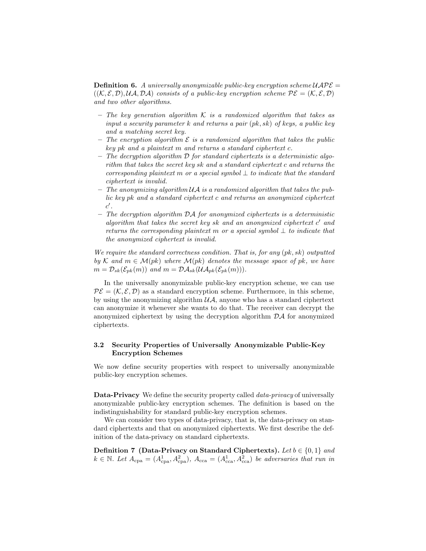**Definition 6.** A universally anonymizable public-key encryption scheme  $UAPE =$  $((\mathcal{K}, \mathcal{E}, \mathcal{D}), \mathcal{U}\mathcal{A}, \mathcal{D}\mathcal{A})$  consists of a public-key encryption scheme  $\mathcal{P}\mathcal{E} = (\mathcal{K}, \mathcal{E}, \mathcal{D})$ and two other algorithms.

- The key generation algorithm  $K$  is a randomized algorithm that takes as input a security parameter k and returns a pair  $(pk, sk)$  of keys, a public key and a matching secret key.
- The encryption algorithm  $\mathcal E$  is a randomized algorithm that takes the public key pk and a plaintext m and returns a standard ciphertext c.
- $-$  The decryption algorithm  $\mathcal D$  for standard ciphertexts is a deterministic algorithm that takes the secret key sk and a standard ciphertext c and returns the corresponding plaintext m or a special symbol  $\perp$  to indicate that the standard ciphertext is invalid.
- $-$  The anonymizing algorithm  $\mathcal{U}\mathcal{A}$  is a randomized algorithm that takes the public key pk and a standard ciphertext c and returns an anonymized ciphertext  $c'.$
- $-$  The decryption algorithm  $\mathcal{D}\mathcal{A}$  for anonymized ciphertexts is a deterministic algorithm that takes the secret key sk and an anonymized ciphertext  $c'$  and returns the corresponding plaintext m or a special symbol  $\perp$  to indicate that the anonymized ciphertext is invalid.

We require the standard correctness condition. That is, for any  $(pk, sk)$  outputted by K and  $m \in \mathcal{M}(pk)$  where  $\mathcal{M}(pk)$  denotes the message space of pk, we have  $m = \mathcal{D}_{sk}(\mathcal{E}_{nk}(m))$  and  $m = \mathcal{D}\mathcal{A}_{sk}(\mathcal{U}\mathcal{A}_{nk}(\mathcal{E}_{nk}(m))).$ 

In the universally anonymizable public-key encryption scheme, we can use  $\mathcal{PE} = (\mathcal{K}, \mathcal{E}, \mathcal{D})$  as a standard encryption scheme. Furthermore, in this scheme, by using the anonymizing algorithm  $\mathcal{UA}$ , anyone who has a standard ciphertext can anonymize it whenever she wants to do that. The receiver can decrypt the anonymized ciphertext by using the decryption algorithm  $\mathcal{D}A$  for anonymized ciphertexts.

## 3.2 Security Properties of Universally Anonymizable Public-Key Encryption Schemes

We now define security properties with respect to universally anonymizable public-key encryption schemes.

Data-Privacy We define the security property called *data-privacy* of universally anonymizable public-key encryption schemes. The definition is based on the indistinguishability for standard public-key encryption schemes.

We can consider two types of data-privacy, that is, the data-privacy on standard ciphertexts and that on anonymized ciphertexts. We first describe the definition of the data-privacy on standard ciphertexts.

**Definition 7 (Data-Privacy on Standard Ciphertexts).** Let  $b \in \{0, 1\}$  and  $k \in \mathbb{N}$ . Let  $A_{\rm cpa} = (A_{\rm cpa}^1, A_{\rm cpa}^2), A_{\rm cca} = (A_{\rm cca}^1, A_{\rm cca}^2)$  be adversaries that run in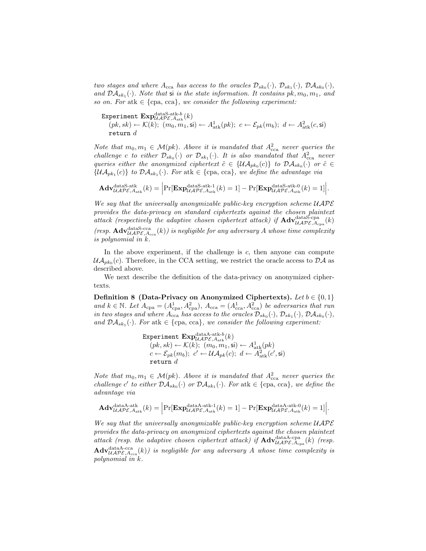two stages and where  $A_{\text{cca}}$  has access to the oracles  $\mathcal{D}_{sk_0}(\cdot), \mathcal{D}_{sk_1}(\cdot), \mathcal{D}A_{sk_0}(\cdot),$ and  $\mathcal{DA}_{sk_1}(\cdot)$ . Note that si is the state information. It contains  $pk, m_0, m_1$ , and so on. For atk  $\in \{cpa, cca\}$ , we consider the following experiment:

Experiment  $\mathrm{Exp}_{\mathcal{UAPE},A_{\mathrm{atk}}}(k)$  $(pk, sk) \leftarrow \mathcal{K}(k); (m_0, m_1, \mathsf{si}) \leftarrow A_{\text{atk}}^1(pk); c \leftarrow \mathcal{E}_{pk}(m_b); d \leftarrow A_{\text{atk}}^2(c, \mathsf{si})$ return  $d$ 

Note that  $m_0, m_1 \in \mathcal{M}(pk)$ . Above it is mandated that  $A_{\text{cca}}^2$  never queries the challenge c to either  $\mathcal{D}_{sk_0}(\cdot)$  or  $\mathcal{D}_{sk_1}(\cdot)$ . It is also mandated that  $A_{\text{cca}}^2$  never queries either the anonymized ciphertext  $\tilde{c} \in \{\mathcal{UA}_{pk_0}(c)\}\;$  to  $\mathcal{DA}_{sk_0}(\cdot)$  or  $\tilde{c} \in$  $\{\mathcal{UA}_{pk_1}(c)\}\;$  to  $\mathcal{DA}_{sk_1}(\cdot)$ . For atk  $\in \{\text{cpa}, \text{cca}\}\,$ , we define the advantage via

$$
\mathbf{Adv}_{\mathcal{UAPE},\mathcal{A}_{\mathrm{atk}} }^{\mathrm{dataS-atk}}(k)=\Big|\mathrm{Pr}[\mathbf{Exp}_{\mathcal{UAPE},\mathcal{A}_{\mathrm{atk}}}^{\mathrm{dataS-atk-1}}(k)=1]-\mathrm{Pr}[\mathbf{Exp}_{\mathcal{UAPE},\mathcal{A}_{\mathrm{atk}}}^{\mathrm{dataS-atk-0}}(k)=1]\Big|.
$$

We say that the universally anonymizable public-key encryption scheme  $UAP\mathcal{E}$ provides the data-privacy on standard ciphertexts against the chosen plaintext attack (respectively the adaptive chosen ciphertext attack) if  $\mathbf{Adv}_{\mathcal{UAPE},A_{\text{cpa}}^{dataS\text{-}cpa}}^{dataS\text{-}cpa}(k)$ 

(resp.  $\text{Adv}_{\mathcal{UAPE},A_{\text{cca}}}(k)$ ) is negligible for any adversary A whose time complexity is polynomial in k.

In the above experiment, if the challenge is  $c$ , then anyone can compute  $\mathcal{UA}_{pk_0}(c)$ . Therefore, in the CCA setting, we restrict the oracle access to  $\mathcal{DA}$  as described above.

We next describe the definition of the data-privacy on anonymized ciphertexts.

Definition 8 (Data-Privacy on Anonymized Ciphertexts). Let  $b \in \{0, 1\}$ and  $k \in \mathbb{N}$ . Let  $A_{\text{cpa}} = (A_{\text{cpa}}^1, A_{\text{cpa}}^2), A_{\text{cca}} = (A_{\text{cca}}^1, A_{\text{cca}}^2)$  be adversaries that run in two stages and where  $A_{\rm cca}$  has access to the oracles  $\mathcal{D}_{sk_0}(\cdot), \mathcal{D}_{sk_1}(\cdot), \mathcal{D}\mathcal{A}_{sk_0}(\cdot),$ and  $\mathcal{D}A_{sk_1}(\cdot)$ . For atk  $\in \{\text{cpa, cca}\}\$ , we consider the following experiment:

> Experiment  $\mathrm{Exp}_{\mathcal{UAPE},A_{\mathrm{atk}}}(k)$  $(pk, sk) \leftarrow \mathcal{K}(k); (m_0, m_1, \mathsf{si}) \leftarrow A^1_{\text{atk}}(pk)$  $c \leftarrow \mathcal{E}_{pk}(m_b); \ \ c' \leftarrow \mathcal{UA}_{pk}(c); \ \ d \leftarrow \widetilde{A}_{\rm atk}^2(c',\mathsf{si})$  ${\tt return}$  d

Note that  $m_0, m_1 \in \mathcal{M}(pk)$ . Above it is mandated that  $A_{\text{cca}}^2$  never queries the challenge c' to either  $\mathcal{D}A_{sk_0}(\cdot)$  or  $\mathcal{D}A_{sk_1}(\cdot)$ . For atk  $\in \{\text{cpa}, \text{cca}\},$  we define the advantage via

$$
\mathbf{Adv}_{\mathcal{UAPE},A_{\text{atk}}}^{\text{dataA-atk}}(k) = \Big|\Pr[\mathbf{Exp}_{\mathcal{UAPE},A_{\text{atk}}}^{\text{dataA-atk-1}}(k) = 1] - \Pr[\mathbf{Exp}_{\mathcal{UAPE},A_{\text{atk}}}^{\text{dataA-atk-0}}(k) = 1]\Big|.
$$

We say that the universally anonymizable public-key encryption scheme  $UATE$ provides the data-privacy on anonymized ciphertexts against the chosen plaintext attack (resp. the adaptive chosen ciphertext attack) if  $\mathbf{Adv}_{\mathcal{UAPE}, A_{\text{cpa}}}^{dataA-\text{cpa}}(k)$  (resp.  $\mathbf{Adv}_{\mathcal{UAPE}, \text{Acca}}^{\text{dataAcca}}(k)$  is negligible for any adversary A whose time complexity is polynomial in k.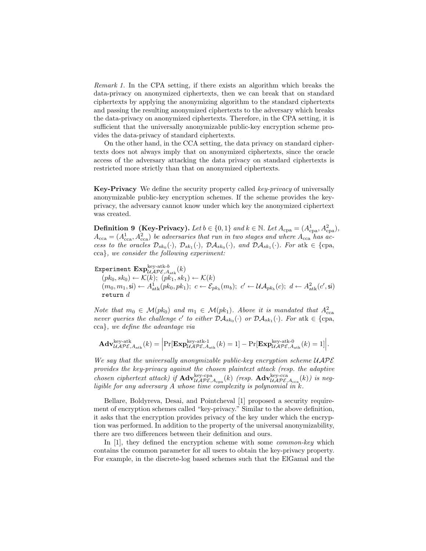Remark 1. In the CPA setting, if there exists an algorithm which breaks the data-privacy on anonymized ciphertexts, then we can break that on standard ciphertexts by applying the anonymizing algorithm to the standard ciphertexts and passing the resulting anonymized ciphertexts to the adversary which breaks the data-privacy on anonymized ciphertexts. Therefore, in the CPA setting, it is sufficient that the universally anonymizable public-key encryption scheme provides the data-privacy of standard ciphertexts.

On the other hand, in the CCA setting, the data privacy on standard ciphertexts does not always imply that on anonymized ciphertexts, since the oracle access of the adversary attacking the data privacy on standard ciphertexts is restricted more strictly than that on anonymized ciphertexts.

Key-Privacy We define the security property called key-privacy of universally anonymizable public-key encryption schemes. If the scheme provides the keyprivacy, the adversary cannot know under which key the anonymized ciphertext was created.

**Definition 9 (Key-Privacy).** Let  $b \in \{0, 1\}$  and  $k \in \mathbb{N}$ . Let  $A_{\text{cpa}} = (A_{\text{cpa}}^1, A_{\text{cpa}}^2)$ ,  $A_{\text{cca}} = (A_{\text{cca}}^1, A_{\text{cca}}^2)$  be adversaries that run in two stages and where  $A_{\text{cca}}$  has access to the oracles  $\mathcal{D}_{sk_0}(\cdot)$ ,  $\mathcal{D}_{sk_1}(\cdot)$ ,  $\mathcal{D}\mathcal{A}_{sk_0}(\cdot)$ , and  $\mathcal{D}\mathcal{A}_{sk_1}(\cdot)$ . For atk  $\in$  {cpa, cca}, we consider the following experiment:

Experiment  $\mathrm{Exp}_{\mathcal{UAPE},A_{\text{atk}}}(k)$ 

 $(pk_0, sk_0) \leftarrow \mathcal{K}(k); (pk_1, sk_1) \leftarrow \mathcal{K}(k)$  $(m_0, m_1, \mathsf{s}) \leftarrow A_{\text{atk}}^1(pk_0, pk_1); \ c \leftarrow \mathcal{E}_{pk_b}(m_b); \ c' \leftarrow \mathcal{UA}_{pk_b}(c); \ d \leftarrow A_{\text{atk}}^2(c', \mathsf{s})$ return  $d$ 

Note that  $m_0 \in \mathcal{M}(pk_0)$  and  $m_1 \in \mathcal{M}(pk_1)$ . Above it is mandated that  $A_{\text{cca}}^2$ never queries the challenge c' to either  $\mathcal{D}A_{sk_0}(\cdot)$  or  $\mathcal{D}A_{sk_1}(\cdot)$ . For atk  $\in \{\text{cpa},$ cca}, we define the advantage via

$$
\mathbf{Adv}_{\mathcal{UAPE},A_{\mathrm{atk}} }^{\mathrm{key}\text{-atk}}(k)=\Big|\mathrm{Pr}[\mathbf{Exp}_{\mathcal{UAPE},A_{\mathrm{atk}} }^{\mathrm{key}\text{-atk}\text{-}1}[k]=1]-\mathrm{Pr}[\mathbf{Exp}_{\mathcal{UAPE},A_{\mathrm{atk}} }^{\mathrm{key}\text{-atk}\text{-}0}[k]=1]\Big|.
$$

We say that the universally anonymizable public-key encryption scheme  $UAP\mathcal{E}$ provides the key-privacy against the chosen plaintext attack (resp. the adaptive chosen ciphertext attack) if  $\mathbf{Adv}_{\mathcal{UAPE},A_{\text{cpa}}^{key}\n}^{key\text{-cpa}}(k)$  (resp.  $\mathbf{Adv}_{\mathcal{UAPE},A_{\text{cca}}^{key\text{-}cca}}^{key\text{-}cca}(k)$ ) is negligible for any adversary  $A$  whose time complexity is polynomial in  $k$ .

Bellare, Boldyreva, Desai, and Pointcheval [1] proposed a security requirement of encryption schemes called "key-privacy." Similar to the above definition, it asks that the encryption provides privacy of the key under which the encryption was performed. In addition to the property of the universal anonymizability, there are two differences between their definition and ours.

In [1], they defined the encryption scheme with some *common-key* which contains the common parameter for all users to obtain the key-privacy property. For example, in the discrete-log based schemes such that the ElGamal and the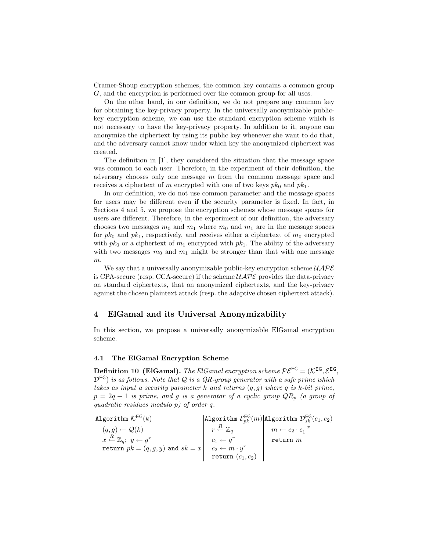Cramer-Shoup encryption schemes, the common key contains a common group G, and the encryption is performed over the common group for all uses.

On the other hand, in our definition, we do not prepare any common key for obtaining the key-privacy property. In the universally anonymizable publickey encryption scheme, we can use the standard encryption scheme which is not necessary to have the key-privacy property. In addition to it, anyone can anonymize the ciphertext by using its public key whenever she want to do that, and the adversary cannot know under which key the anonymized ciphertext was created.

The definition in [1], they considered the situation that the message space was common to each user. Therefore, in the experiment of their definition, the adversary chooses only one message  $m$  from the common message space and receives a ciphertext of m encrypted with one of two keys  $pk_0$  and  $pk_1$ .

In our definition, we do not use common parameter and the message spaces for users may be different even if the security parameter is fixed. In fact, in Sections 4 and 5, we propose the encryption schemes whose message spaces for users are different. Therefore, in the experiment of our definition, the adversary chooses two messages  $m_0$  and  $m_1$  where  $m_0$  and  $m_1$  are in the message spaces for  $pk_0$  and  $pk_1$ , respectively, and receives either a ciphertext of  $m_0$  encrypted with  $pk_0$  or a ciphertext of  $m_1$  encrypted with  $pk_1$ . The ability of the adversary with two messages  $m_0$  and  $m_1$  might be stronger than that with one message m.

We say that a universally anonymizable public-key encryption scheme  $\mathcal{UAPE}$ is CPA-secure (resp. CCA-secure) if the scheme  $\mathcal{UAPE}$  provides the data-privacy on standard ciphertexts, that on anonymized ciphertexts, and the key-privacy against the chosen plaintext attack (resp. the adaptive chosen ciphertext attack).

## 4 ElGamal and its Universal Anonymizability

In this section, we propose a universally anonymizable ElGamal encryption scheme.

### 4.1 The ElGamal Encryption Scheme

**Definition 10 (ElGamal).** The ElGamal encryption scheme  $P\mathcal{E}^{\textsf{EG}} = (\mathcal{K}^{\textsf{EG}}, \mathcal{E}^{\textsf{EG}},$  $\mathcal{D}^{\text{EG}}$ ) is as follows. Note that Q is a QR-group generator with a safe prime which takes as input a security parameter k and returns  $(q, g)$  where q is k-bit prime,  $p = 2q + 1$  is prime, and g is a generator of a cyclic group  $QR_p$  (a group of quadratic residues modulo p) of order q.

Algorithm 
$$
K^{EG}(k)
$$
  
\n $(q,g) \leftarrow Q(k)$   
\n $x \stackrel{R}{\leftarrow} \mathbb{Z}_q$ ;  $y \leftarrow g^x$   
\nreturn  $pk = (q,g,y)$  and  $sk = x$   
\n $\begin{array}{c|c|c|c}\n & & \text{Algorithm } \mathcal{E}^{EG}_{pk}(m) & \text{Algorithm } \mathcal{D}^{EG}_{sk}(c_1, c_2) \\
 & r \stackrel{R}{\leftarrow} \mathbb{Z}_q & m \leftarrow c_2 \cdot c_1^{-x} \\
 & & \text{return } m & \text{return } m \\
 & & & \text{return } (c_1, c_2)\n\end{array}$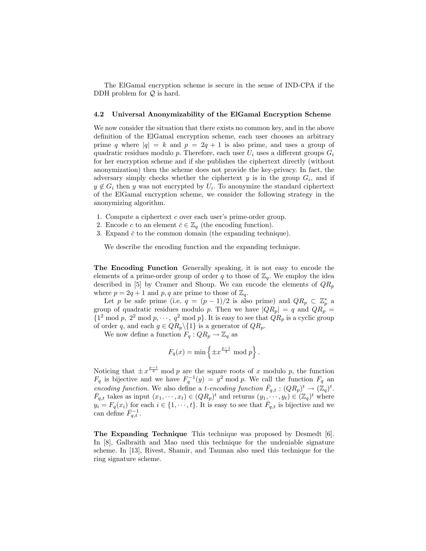The ElGamal encryption scheme is secure in the sense of IND-CPA if the DDH problem for  $Q$  is hard.

#### 4.2 Universal Anonymizability of the ElGamal Encryption Scheme

We now consider the situation that there exists no common key, and in the above definition of the ElGamal encryption scheme, each user chooses an arbitrary prime q where  $|q| = k$  and  $p = 2q + 1$  is also prime, and uses a group of quadratic residues modulo p. Therefore, each user  $U_i$  uses a different groups  $G_i$ for her encryption scheme and if she publishes the ciphertext directly (without anonymization) then the scheme does not provide the key-privacy. In fact, the adversary simply checks whether the ciphertext  $y$  is in the group  $G_i$ , and if  $y \notin G_i$  then y was not encrypted by  $U_i$ . To anonymize the standard ciphertext of the ElGamal encryption scheme, we consider the following strategy in the anonymizing algorithm.

- 1. Compute a ciphertext  $c$  over each user's prime-order group.
- 2. Encode c to an element  $\bar{c} \in \mathbb{Z}_q$  (the encoding function).
- 3. Expand  $\bar{c}$  to the common domain (the expanding technique).

We describe the encoding function and the expanding technique.

The Encoding Function Generally speaking, it is not easy to encode the elements of a prime-order group of order q to those of  $\mathbb{Z}_q$ . We employ the idea described in [5] by Cramer and Shoup. We can encode the elements of  $QR_p$ where  $p = 2q + 1$  and p, q are prime to those of  $\mathbb{Z}_q$ .

Let p be safe prime (i.e.  $q = (p-1)/2$  is also prime) and  $QR_p \subset \mathbb{Z}_p^*$  a group of quadratic residues modulo p. Then we have  $|QR_p| = q$  and  $QR_p =$  ${1}^2 \bmod p$ ,  $2^2 \bmod p$ ,  $\cdots$ ,  $q^2 \bmod p$ . It is easy to see that  $QR_p$  is a cyclic group of order q, and each  $g \in QR_p \backslash \{1\}$  is a generator of  $QR_p$ .

We now define a function  $F_q:QR_p \to \mathbb{Z}_q$  as

$$
F_q(x) = \min\left\{\pm x^{\frac{p-1}{4}} \bmod p\right\}.
$$

Noticing that  $\pm x^{\frac{p-1}{4}}$  mod p are the square roots of x modulo p, the function  $F_q$  is bijective and we have  $F_q^{-1}(y) = y^2 \mod p$ . We call the function  $F_q$  and encoding function. We also define a t-encoding function  $\bar{F}_{q,t} : (QR_p)^t \to (\mathbb{Z}_q)^t$ .  $\overline{F}_{q,t}$  takes as input  $(x_1, \dots, x_t) \in (QR_p)^t$  and returns  $(y_1, \dots, y_t) \in (\mathbb{Z}_q)^t$  where  $y_i = F_q(x_i)$  for each  $i \in \{1, \dots, t\}$ . It is easy to see that  $\overline{F}_{q,t}$  is bijective and we can define  $\overline{F}_{q,t}^{-1}$ .

The Expanding Technique This technique was proposed by Desmedt [6]. In [8], Galbraith and Mao used this technique for the undeniable signature scheme. In [13], Rivest, Shamir, and Tauman also used this technique for the ring signature scheme.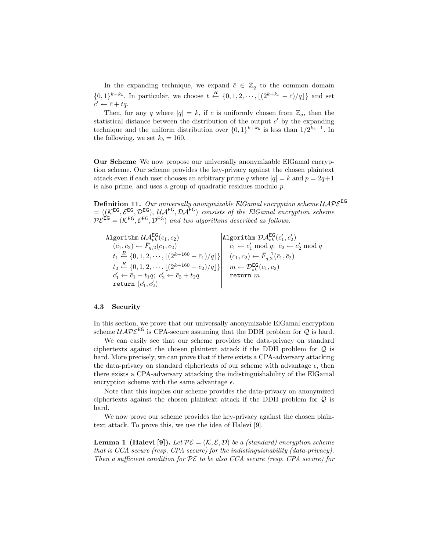In the expanding technique, we expand  $\bar{c} \in \mathbb{Z}_q$  to the common domain  $\{0,1\}^{k+k_b}$ . In particular, we choose  $t \stackrel{R}{\leftarrow} \{0,1,2,\cdots,\lfloor(2^{k+k_b}-\bar{c})/q\rfloor\}$  and set  $c' \leftarrow \bar{c} + tq.$ 

Then, for any q where  $|q| = k$ , if  $\bar{c}$  is uniformly chosen from  $\mathbb{Z}_q$ , then the statistical distance between the distribution of the output  $c'$  by the expanding technique and the uniform distribution over  $\{0,1\}^{k+k_b}$  is less than  $1/2^{k_b-1}$ . In the following, we set  $k_b = 160$ .

Our Scheme We now propose our universally anonymizable ElGamal encryption scheme. Our scheme provides the key-privacy against the chosen plaintext attack even if each user chooses an arbitrary prime q where  $|q| = k$  and  $p = 2q+1$ is also prime, and uses a group of quadratic residues modulo p.

**Definition 11.** Our universally anonymizable ElGamal encryption scheme  $\mathcal{UAPE}^{\mathsf{EG}}$  $= ((\mathcal{K}^{EG}, \mathcal{E}^{EG}, \mathcal{D}^{EG}), \mathcal{U} \mathcal{A}^{EG}, \mathcal{D} \mathcal{A}^{EG})$  consists of the ElGamal encryption scheme  $P\mathcal{E}^{\text{EG}} = (\mathcal{K}^{\text{EG}}, \mathcal{E}^{\text{EG}}, \mathcal{D}^{\text{EG}})$  and two algorithms described as follows.

Algorithm 
$$
\begin{array}{l}\n\mathcal{U}\mathcal{A}_{pk}^{\text{EG}}(c_1, c_2) \\
(\bar{c}_1, \bar{c}_2) \leftarrow \bar{F}_{q,2}(c_1, c_2) \\
t_1 \xleftarrow{R} \{0, 1, 2, \cdots, \lfloor (2^{k+160} - \bar{c}_1)/q \rfloor \} \right] \\
t_2 \xleftarrow{R} \{0, 1, 2, \cdots, \lfloor (2^{k+160} - \bar{c}_2)/q \rfloor \} \end{array}\n\begin{array}{l}\n\text{Algorithm } \mathcal{D}\mathcal{A}_{sk}^{\text{EG}}(c'_1, c'_2) \\
\bar{c}_1 \leftarrow c'_1 \bmod q; \ \bar{c}_2 \leftarrow c'_2 \bmod q \\
(c_1, c_2) \leftarrow \bar{F}_{q,2}^{-1}(\bar{c}_1, \bar{c}_2) \\
c'_1 \leftarrow \bar{c}_1 + t_1 q; \ c'_2 \leftarrow \bar{c}_2 + t_2 q \\
\text{return } (c'_1, c'_2)\n\end{array}
$$
 return  $m$ 

## 4.3 Security

In this section, we prove that our universally anonymizable ElGamal encryption scheme  $UAP\mathcal{E}^{\text{EG}}$  is CPA-secure assuming that the DDH problem for  $\mathcal{Q}$  is hard.

We can easily see that our scheme provides the data-privacy on standard ciphertexts against the chosen plaintext attack if the DDH problem for Q is hard. More precisely, we can prove that if there exists a CPA-adversary attacking the data-privacy on standard ciphertexts of our scheme with advantage  $\epsilon$ , then there exists a CPA-adversary attacking the indistinguishability of the ElGamal encryption scheme with the same advantage  $\epsilon$ .

Note that this implies our scheme provides the data-privacy on anonymized ciphertexts against the chosen plaintext attack if the DDH problem for Q is hard.

We now prove our scheme provides the key-privacy against the chosen plaintext attack. To prove this, we use the idea of Halevi [9].

**Lemma 1 (Halevi [9]).** Let  $\mathcal{PE} = (\mathcal{K}, \mathcal{E}, \mathcal{D})$  be a (standard) encryption scheme that is CCA secure (resp. CPA secure) for the indistinguishability (data-privacy). Then a sufficient condition for  $\mathcal{PE}$  to be also CCA secure (resp. CPA secure) for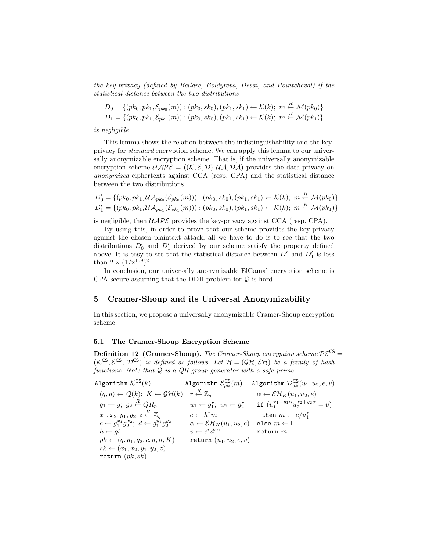the key-privacy (defined by Bellare, Boldyreva, Desai, and Pointcheval) if the statistical distance between the two distributions

$$
D_0 = \{ (pk_0, pk_1, \mathcal{E}_{pk_0}(m)) : (pk_0, sk_0), (pk_1, sk_1) \leftarrow \mathcal{K}(k); \ m \stackrel{R}{\leftarrow} \mathcal{M}(pk_0) \}
$$
  

$$
D_1 = \{ (pk_0, pk_1, \mathcal{E}_{pk_1}(m)) : (pk_0, sk_0), (pk_1, sk_1) \leftarrow \mathcal{K}(k); \ m \stackrel{R}{\leftarrow} \mathcal{M}(pk_1) \}
$$

is negligible.

This lemma shows the relation between the indistinguishability and the keyprivacy for standard encryption scheme. We can apply this lemma to our universally anonymizable encryption scheme. That is, if the universally anonymizable encryption scheme  $UATE = ((K, \mathcal{E}, \mathcal{D}), \mathcal{U}\mathcal{A}, \mathcal{D}\mathcal{A})$  provides the data-privacy on anonymized ciphertexts against CCA (resp. CPA) and the statistical distance between the two distributions

$$
D'_0 = \{ (pk_0, pk_1, UA_{pk_0}(\mathcal{E}_{pk_0}(m))) : (pk_0, sk_0), (pk_1, sk_1) \leftarrow \mathcal{K}(k); m \stackrel{R}{\leftarrow} \mathcal{M}(pk_0) \}
$$
  

$$
D'_1 = \{ (pk_0, pk_1, UA_{pk_1}(\mathcal{E}_{pk_1}(m))) : (pk_0, sk_0), (pk_1, sk_1) \leftarrow \mathcal{K}(k); m \stackrel{R}{\leftarrow} \mathcal{M}(pk_1) \}
$$

is negligible, then  $UAP\mathcal{E}$  provides the key-privacy against CCA (resp. CPA).

By using this, in order to prove that our scheme provides the key-privacy against the chosen plaintext attack, all we have to do is to see that the two distributions  $D'_0$  and  $D'_1$  derived by our scheme satisfy the property defined above. It is easy to see that the statistical distance between  $D'_0$  and  $D'_1$  is less than  $2 \times (1/2^{159})^2$ .

In conclusion, our universally anonymizable ElGamal encryption scheme is CPA-secure assuming that the DDH problem for  $\mathcal{Q}$  is hard.

# 5 Cramer-Shoup and its Universal Anonymizability

In this section, we propose a universally anonymizable Cramer-Shoup encryption scheme.

### 5.1 The Cramer-Shoup Encryption Scheme

**Definition 12 (Cramer-Shoup).** The Cramer-Shoup encryption scheme  $\mathcal{PE}^{\text{CS}}$  =  $(\mathcal{K}^{CS}, \mathcal{E}^{CS}, \mathcal{D}^{CS})$  is defined as follows. Let  $\mathcal{H} = (\mathcal{GH}, \mathcal{EH})$  be a family of hash functions. Note that  $Q$  is a QR-group generator with a safe prime.

Algorithm  $\mathcal{K}^{\textsf{CS}}(k)$  Algorithm  $\mathcal{E}^{\textsf{CS}}_{pk}(m)$  |Algorithm  $\mathcal{D}^{\textsf{CS}}_{sk}(u_1,u_2,e,v)$ (q, g) ← Q(k); K ← GH(k) r <sup>R</sup>← Z<sup>q</sup> α ← EHK(u1, u2, e) g<sup>1</sup> ← g; g<sup>2</sup> <sup>R</sup>← QR<sup>p</sup> u<sup>1</sup> ← g r 1 ; u<sup>2</sup> ← g r <sup>2</sup> if (u x1+y1α <sup>1</sup> u x2+y2α <sup>2</sup> = v)  $\left\{ \begin{array}{l} x_1,x_2,y_1,y_2,z \stackrel{R}{\leftarrow} \mathbb{Z}_q \ c \leftarrow g_1^{y_1}g_2^{y_2} \end{array} \right. \quad \left. \left| \begin{array}{l} e \leftarrow h^r m \ \alpha \leftarrow \mathcal{E} \mathcal{H}_K(u_1,u_2,e) \end{array} \right| \begin{array}{l} \text{ then } m \leftarrow e/u_1^x \ c \leftarrow g_1^{y_1}g_2^{y_2} \end{array} \right. \right. \right\}$  $h \leftarrow g_1^z$   $v \leftarrow c^r d^{r\alpha}$  return m  $pk \leftarrow (q, g_1, g_2, c, d, h, K) \quad | \quad \texttt{return } (u_1, u_2, e, v)$  $sk \leftarrow (x_1, x_2, y_1, y_2, z)$ return  $(pk, sk)$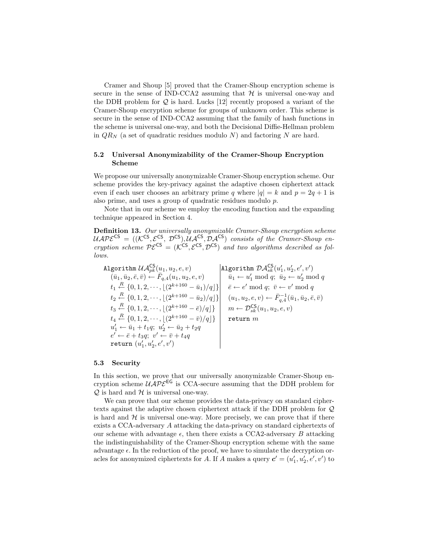Cramer and Shoup [5] proved that the Cramer-Shoup encryption scheme is secure in the sense of IND-CCA2 assuming that  $H$  is universal one-way and the DDH problem for  $Q$  is hard. Lucks [12] recently proposed a variant of the Cramer-Shoup encryption scheme for groups of unknown order. This scheme is secure in the sense of IND-CCA2 assuming that the family of hash functions in the scheme is universal one-way, and both the Decisional Diffie-Hellman problem in  $QR_N$  (a set of quadratic residues modulo N) and factoring N are hard.

## 5.2 Universal Anonymizability of the Cramer-Shoup Encryption Scheme

We propose our universally anonymizable Cramer-Shoup encryption scheme. Our scheme provides the key-privacy against the adaptive chosen ciphertext attack even if each user chooses an arbitrary prime q where  $|q| = k$  and  $p = 2q + 1$  is also prime, and uses a group of quadratic residues modulo p.

Note that in our scheme we employ the encoding function and the expanding technique appeared in Section 4.

Definition 13. Our universally anonymizable Cramer-Shoup encryption scheme  $UAP{\cal E}^{\text{CS}} = (({\cal K}^{\text{CS}}, {\cal E}^{\text{CS}}, {\cal D}^{\text{CS}}), \tilde{U} {\cal A}^{\text{CS}}, {\cal D} {\cal A}^{\text{CS}})$  consists of the Cramer-Shoup encryption scheme  $P\mathcal{E}^{CS} = (\mathcal{K}^{CS}, \mathcal{E}^{CS}, \mathcal{D}^{CS})$  and two algorithms described as follows.

Algorithm UACS pk(u1, u2, e, v) Algorithm DACS sk (u 0 1 , u<sup>0</sup> 2 , e<sup>0</sup> , v<sup>0</sup> )  $(\bar{u}_1, \bar{u}_2, \bar{e}, \bar{v}) \leftarrow \overline{F}_{q,4}(u_1, u_2, e, v)$   $\bar{u}_1 \leftarrow u'_1 \bmod q; \bar{u}_2 \leftarrow u'_2 \bmod q$  $t_1 \stackrel{R}{\leftarrow} \{0, 1, 2, \cdots, \lfloor (2^{k+160} - \bar{u}_1)/q \rfloor \} \mid \bar{e} \leftarrow e' \bmod q; \ \bar{v} \leftarrow v' \bmod q$  $t_2 \stackrel{R}{\leftarrow} \{0, 1, 2, \cdots, \lfloor (2^{k+160} - \bar{u}_2)/q \rfloor \} \quad (u_1, u_2, e, v) \leftarrow \bar{F}_{q, 4}^{-1}(\bar{u}_1, \bar{u}_2, \bar{e}, \bar{v})$  $t_3 \stackrel{R}{\leftarrow} \{0, 1, 2, \cdots, \lfloor (2^{k+160} - \bar{e})/q \rfloor \} \mid m \leftarrow \mathcal{D}_{sk}^{\mathsf{CS}}(u_1, u_2, e, v)$  $t_4 \stackrel{R}{\leftarrow} \{0,1,2,\cdots, \lfloor(2^{k+160}-\bar{v})/q\rfloor\}$  return  $m$  $u'_1 \leftarrow \bar{u}_1 + t_1 q; \ u'_2 \leftarrow \bar{u}_2 + t_2 q$  $e' \leftarrow \bar{e} + t_3 q; \ v' \leftarrow \bar{v} + t_4 q$ return  $(u'_1, u'_2, e', v')$ 

#### 5.3 Security

In this section, we prove that our universally anonymizable Cramer-Shoup encryption scheme  $\mathcal{UAPE}^{\text{EG}}$  is CCA-secure assuming that the DDH problem for  $\mathcal{Q}$  is hard and  $\mathcal{H}$  is universal one-way.

We can prove that our scheme provides the data-privacy on standard ciphertexts against the adaptive chosen ciphertext attack if the DDH problem for Q is hard and  $H$  is universal one-way. More precisely, we can prove that if there exists a CCA-adversary A attacking the data-privacy on standard ciphertexts of our scheme with advantage  $\epsilon$ , then there exists a CCA2-adversary B attacking the indistinguishability of the Cramer-Shoup encryption scheme with the same advantage  $\epsilon$ . In the reduction of the proof, we have to simulate the decryption oracles for anonymized ciphertexts for A. If A makes a query  $\mathbf{c}' = (u'_1, u'_2, e', v')$  to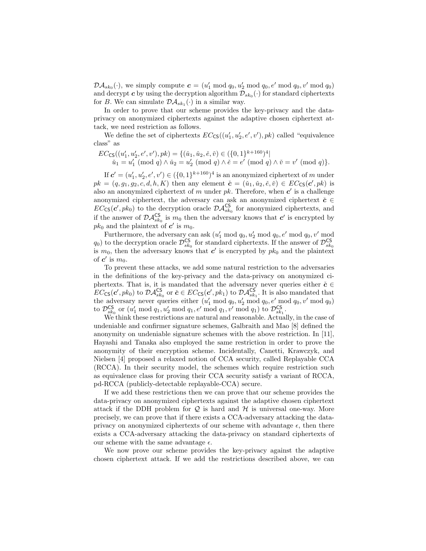$\mathcal{D}\mathcal{A}_{sk_0}(\cdot)$ , we simply compute  $\boldsymbol{c} = (u'_1 \bmod q_0, u'_2 \bmod q_0, e' \bmod q_0, v' \bmod q_0)$ and decrypt  $c$  by using the decryption algorithm  $\mathcal{D}_{sk_0}(\cdot)$  for standard ciphertexts for B. We can simulate  $\mathcal{DA}_{sk_1}(\cdot)$  in a similar way.

In order to prove that our scheme provides the key-privacy and the dataprivacy on anonymized ciphertexts against the adaptive chosen ciphertext attack, we need restriction as follows.

We define the set of ciphertexts  $EC_{CS}((u'_1, u'_2, e', v'), pk)$  called "equivalence" class" as

$$
EC_{\mathsf{CS}}((u'_1, u'_2, e', v'), pk) = \{(\check{u}_1, \check{u}_2, \check{e}, \check{v}) \in (\{0, 1\}^{k+160})^4 | \check{u}_1 = u'_1 \pmod{q} \land \check{u}_2 = u'_2 \pmod{q} \land \check{e} = e' \pmod{q} \land \check{v} = v' \pmod{q}\}.
$$

If  $c' = (u'_1, u'_2, e', v') \in (\{0, 1\}^{k+160})^4$  is an anonymized ciphertext of m under  $pk = (q, g_1, g_2, c, d, h, K)$  then any element  $\check{c} = (\check{u}_1, \check{u}_2, \check{e}, \check{v}) \in EC_{\textsf{CS}}(c', pk)$  is also an anonymized ciphertext of m under  $pk$ . Therefore, when  $c'$  is a challenge anonymized ciphertext, the adversary can ask an anonymized ciphertext  $\check{c} \in$  $EC_{\text{CS}}(c',pk_0)$  to the decryption oracle  $\mathcal{DA}_{sk_0}^{\text{CS}}$  for anonymized ciphertexts, and if the answer of  $\mathcal{DA}^{\text{CS}}_{sk_0}$  is  $m_0$  then the adversary knows that  $c'$  is encrypted by  $pk_0$  and the plaintext of  $c'$  is  $m_0$ .

Furthermore, the adversary can ask  $(u'_1 \mod q_0, u'_2 \mod q_0, e' \mod q_0, v' \mod q_0)$  $q_0$ ) to the decryption oracle  $\mathcal{D}^{\textsf{CS}}_{sk_0}$  for standard ciphertexts. If the answer of  $\mathcal{D}^{\textsf{CS}}_{sk_0}$ is  $m_0$ , then the adversary knows that c' is encrypted by  $pk_0$  and the plaintext of  $c'$  is  $m_0$ .

To prevent these attacks, we add some natural restriction to the adversaries in the definitions of the key-privacy and the data-privacy on anonymized ciphertexts. That is, it is mandated that the adversary never queries either  $\check{c} \in$  $EC_{\text{CS}}(c',pk_0)$  to  $\mathcal{DA}^{\text{CS}}_{sk_0}$  or  $\check{c} \in EC_{\text{CS}}(c',pk_1)$  to  $\mathcal{DA}^{\text{CS}}_{sk_1}$ . It is also mandated that the adversary never queries either  $(u'_1 \bmod q_0, u'_2 \bmod q_0, e' \bmod q_0, v' \bmod q_0)$ to  $\mathcal{D}^{\mathsf{CS}}_{sk_0}$  or  $(u'_1 \bmod q_1, u'_2 \bmod q_1, e' \bmod q_1, v' \bmod q_1)$  to  $\mathcal{D}^{\mathsf{CS}}_{sk_1}$ .

We think these restrictions are natural and reasonable. Actually, in the case of undeniable and confirmer signature schemes, Galbraith and Mao [8] defined the anonymity on undeniable signature schemes with the above restriction. In [11], Hayashi and Tanaka also employed the same restriction in order to prove the anonymity of their encryption scheme. Incidentally, Canetti, Krawczyk, and Nielsen [4] proposed a relaxed notion of CCA security, called Replayable CCA (RCCA). In their security model, the schemes which require restriction such as equivalence class for proving their CCA security satisfy a variant of RCCA, pd-RCCA (publicly-detectable replayable-CCA) secure.

If we add these restrictions then we can prove that our scheme provides the data-privacy on anonymized ciphertexts against the adaptive chosen ciphertext attack if the DDH problem for  $Q$  is hard and  $H$  is universal one-way. More precisely, we can prove that if there exists a CCA-adversary attacking the dataprivacy on anonymized ciphertexts of our scheme with advantage  $\epsilon$ , then there exists a CCA-adversary attacking the data-privacy on standard ciphertexts of our scheme with the same advantage  $\epsilon$ .

We now prove our scheme provides the key-privacy against the adaptive chosen ciphertext attack. If we add the restrictions described above, we can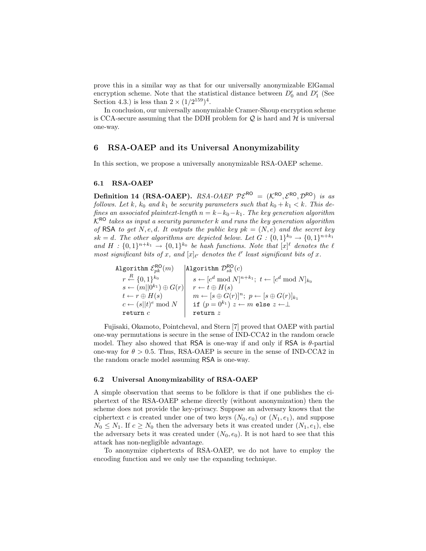prove this in a similar way as that for our universally anonymizable ElGamal encryption scheme. Note that the statistical distance between  $D'_0$  and  $D'_1$  (See Section 4.3.) is less than  $2 \times (1/2^{159})^4$ .

In conclusion, our universally anonymizable Cramer-Shoup encryption scheme is CCA-secure assuming that the DDH problem for  $Q$  is hard and  $H$  is universal one-way.

# 6 RSA-OAEP and its Universal Anonymizability

In this section, we propose a universally anonymizable RSA-OAEP scheme.

#### 6.1 RSA-OAEP

Definition 14 (RSA-OAEP). RSA-OAEP  $P\mathcal{E}^{\text{RO}} = (K^{\text{RO}}, \mathcal{E}^{\text{RO}}, \mathcal{D}^{\text{RO}})$  is as follows. Let k,  $k_0$  and  $k_1$  be security parameters such that  $k_0 + k_1 < k$ . This defines an associated plaintext-length  $n = k - k_0 - k_1$ . The key generation algorithm  $K^{\text{RO}}$  takes as input a security parameter k and runs the key generation algorithm of RSA to get N, e, d. It outputs the public key  $pk = (N, e)$  and the secret key  $sk = d$ . The other algorithms are depicted below. Let  $G: \{0,1\}^{k_0} \rightarrow \{0,1\}^{n+k_1}$ and  $H: \{0,1\}^{n+k_1} \to \{0,1\}^{k_0}$  be hash functions. Note that  $[x]^{\ell}$  denotes the  $\ell$ most significant bits of x, and  $[x]_{\ell'}$  denotes the  $\ell'$  least significant bits of x.

Algorithm  $\mathcal{E}_{pk}^{\mathsf{RO}}(m) = |\texttt{Algorithm}~\mathcal{D}_{sk}^{\mathsf{RO}}(c)|$  $r \stackrel{R}{\leftarrow} \{0,1\}^{k_0}$   $s \leftarrow [c^d \bmod N]^{n+k_1}; t \leftarrow [c^d \bmod N]_{k_0}$  $s \leftarrow (m||0^{k_1}) \oplus G(r)| \quad r \leftarrow t \oplus H(s)$  $t \leftarrow r \oplus H(s) \hspace{1cm} m \leftarrow [s \oplus G(r)]^n; \,\, p \leftarrow [s \oplus G(r)]_{k_1}$  $c \leftarrow (s||t)^e \bmod N \quad | \quad \texttt{if}\,\, (p = 0^{k_1})\,\, z \leftarrow m$  else  $z \leftarrow \perp$ return  $c$  and  $\vert$  return  $z$ 

Fujisaki, Okamoto, Pointcheval, and Stern [7] proved that OAEP with partial one-way permutations is secure in the sense of IND-CCA2 in the random oracle model. They also showed that RSA is one-way if and only if RSA is  $\theta$ -partial one-way for  $\theta > 0.5$ . Thus, RSA-OAEP is secure in the sense of IND-CCA2 in the random oracle model assuming RSA is one-way.

#### 6.2 Universal Anonymizability of RSA-OAEP

A simple observation that seems to be folklore is that if one publishes the ciphertext of the RSA-OAEP scheme directly (without anonymization) then the scheme does not provide the key-privacy. Suppose an adversary knows that the ciphertext c is created under one of two keys  $(N_0, e_0)$  or  $(N_1, e_1)$ , and suppose  $N_0 \leq N_1$ . If  $c \geq N_0$  then the adversary bets it was created under  $(N_1, e_1)$ , else the adversary bets it was created under  $(N_0, e_0)$ . It is not hard to see that this attack has non-negligible advantage.

To anonymize ciphertexts of RSA-OAEP, we do not have to employ the encoding function and we only use the expanding technique.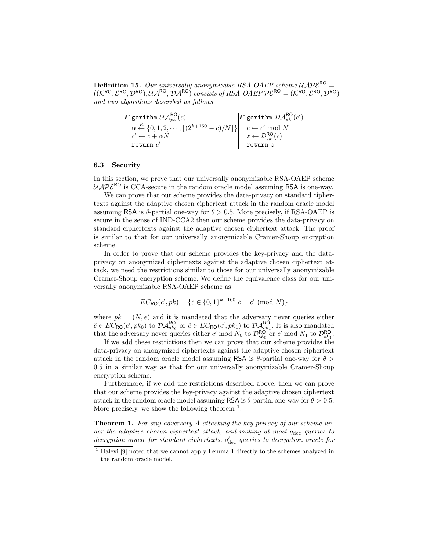**Definition 15.** Our universally anonymizable RSA-OAEP scheme  $\mathcal{UAPE}^{\text{RO}} =$  $((\mathcal{K}^{RO}, \mathcal{E}^{RO}, \mathcal{D}^{RO}), \mathcal{U} \mathcal{A}^{RO}, \mathcal{D} \mathcal{A}^{RO})$  consists of RSA-OAEP  $\mathcal{P} \mathcal{E}^{RO} = (\mathcal{K}^{RO}, \mathcal{E}^{RO}, \mathcal{D}^{RO})$ and two algorithms described as follows.

$$
\begin{array}{c}\n\text{Algorithm } \mathcal{U}\mathcal{A}_{pk}^{\textsf{RO}}(c) \\
\alpha \stackrel{R}{\leftarrow} \{0,1,2,\cdots,\lfloor(2^{k+160}-c)/N\rfloor\} \\
c' \leftarrow c + \alpha N \\
\text{return } c' \\
\text{return } c' \\
\end{array}\n\quad\n\begin{array}{c}\n\text{Algorithm } \mathcal{D}\mathcal{A}_{sk}^{\textsf{RO}}(c') \\
c \leftarrow c' \bmod N \\
z \leftarrow \mathcal{D}_{sk}^{\textsf{RO}}(c) \\
\text{return } z\n\end{array}
$$

#### 6.3 Security

In this section, we prove that our universally anonymizable RSA-OAEP scheme  $UAP\mathcal{E}^{\text{RO}}$  is CCA-secure in the random oracle model assuming RSA is one-way.

We can prove that our scheme provides the data-privacy on standard ciphertexts against the adaptive chosen ciphertext attack in the random oracle model assuming RSA is  $\theta$ -partial one-way for  $\theta > 0.5$ . More precisely, if RSA-OAEP is secure in the sense of IND-CCA2 then our scheme provides the data-privacy on standard ciphertexts against the adaptive chosen ciphertext attack. The proof is similar to that for our universally anonymizable Cramer-Shoup encryption scheme.

In order to prove that our scheme provides the key-privacy and the dataprivacy on anonymized ciphertexts against the adaptive chosen ciphertext attack, we need the restrictions similar to those for our universally anonymizable Cramer-Shoup encryption scheme. We define the equivalence class for our universally anonymizable RSA-OAEP scheme as

$$
EC_{\mathsf{RO}}(c',pk) = \{ \check{c} \in \{0,1\}^{k+160} | \check{c} = c' \pmod{N} \}
$$

where  $pk = (N, e)$  and it is mandated that the adversary never queries either  $\check{c} \in EC_{\mathsf{RO}}(c',pk_0)$  to  $\mathcal{DA}_{sk_0}^{\mathsf{RO}}$  or  $\check{c} \in EC_{\mathsf{RO}}(c',pk_1)$  to  $\mathcal{DA}_{sk_1}^{\mathsf{RO}}$ . It is also mandated that the adversary never queries either c' mod  $N_0$  to  $\mathcal{D}_{sk_0}^{\textsf{RO}}$  or c' mod  $N_1$  to  $\mathcal{D}_{sk_1}^{\textsf{RO}}$ .

If we add these restrictions then we can prove that our scheme provides the data-privacy on anonymized ciphertexts against the adaptive chosen ciphertext attack in the random oracle model assuming RSA is  $\theta$ -partial one-way for  $\theta$  > 0.5 in a similar way as that for our universally anonymizable Cramer-Shoup encryption scheme.

Furthermore, if we add the restrictions described above, then we can prove that our scheme provides the key-privacy against the adaptive chosen ciphertext attack in the random oracle model assuming RSA is  $\theta$ -partial one-way for  $\theta > 0.5$ . More precisely, we show the following theorem  $<sup>1</sup>$ .</sup>

Theorem 1. For any adversary A attacking the key-privacy of our scheme under the adaptive chosen ciphertext attack, and making at most  $q_{\text{dec}}$  queries to  $decryption\ oracle\ for\ standard\ ciphertexts,\ q'_{\rm dec}\ queries\ to\ decryption\ oracle\ for$ 

<sup>&</sup>lt;sup>1</sup> Halevi [9] noted that we cannot apply Lemma 1 directly to the schemes analyzed in the random oracle model.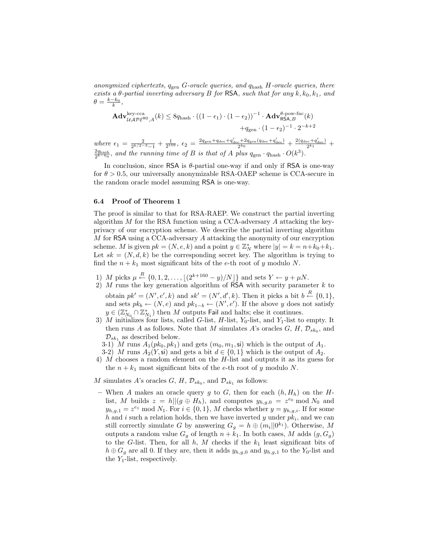anonymized ciphertexts,  $q_{gen}$  G-oracle queries, and  $q_{hash}$  H-oracle queries, there exists a  $\theta$ -partial inverting adversary B for RSA, such that for any  $k, k_0, k_1$ , and  $\theta = \frac{k-k_0}{k},$ 

$$
\begin{aligned} \mathbf{Adv}_{\mathcal{UAPE}^{\text{key-cca}}\!,A}^{\text{key-cca}}(k) &\leq 8q_{\text{hash}} \cdot \big((1-\epsilon_1)\cdot (1-\epsilon_2)\big)^{-1} \cdot \mathbf{Adv}_{\text{RSA},B}^{\theta\text{-pow-frac}}(k) \\ &\qquad \qquad + q_{\text{gen}} \cdot (1-\epsilon_2)^{-1} \cdot 2^{-k+2} \\ e\ \epsilon_1 & = \tfrac{2}{2^{k/2-3}-1} + \tfrac{1}{2^{159}},\ \epsilon_2 = \tfrac{2q_{\text{gen}}+q_{\text{dec}}+q_{\text{dec}}'+2q_{\text{gen}}(q_{\text{dec}}+q_{\text{dec}}')}{2^{k_0}} + \tfrac{2(q_{\text{dec}}+q_{\text{dec}}')}{2^{k_1}} + \tfrac{2(q_{\text{dec}}+q_{\text{dec}}')}{2^{k_1}} \end{aligned}
$$

 $\frac{2q_{\text{hash}}}{2^{k-k_0}}$ , and the running time of B is that of A plus  $q_{\text{gen}} \cdot q_{\text{hash}} \cdot O(k^3)$ .

In conclusion, since RSA is θ-partial one-way if and only if RSA is one-way for  $\theta > 0.5$ , our universally anonymizable RSA-OAEP scheme is CCA-secure in the random oracle model assuming RSA is one-way.

#### 6.4 Proof of Theorem 1

 $where$ 

The proof is similar to that for RSA-RAEP. We construct the partial inverting algorithm  $M$  for the RSA function using a CCA-adversary  $A$  attacking the keyprivacy of our encryption scheme. We describe the partial inverting algorithm M for RSA using a CCA-adversary A attacking the anonymity of our encryption scheme. M is given  $pk = (N, e, k)$  and a point  $y \in \mathbb{Z}_N^*$  where  $|y| = k = n + k_0 + k_1$ . Let  $sk = (N, d, k)$  be the corresponding secret key. The algorithm is trying to find the  $n + k_1$  most significant bits of the e-th root of y modulo N.

- 1) M picks  $\mu \stackrel{R}{\leftarrow} \{0, 1, 2, \ldots, \lfloor (2^{k+160} y)/N \rfloor \}$  and sets  $Y \leftarrow y + \mu N$ .
- 2)  $M$  runs the key generation algorithm of RSA with security parameter  $k$  to obtain  $pk' = (N', e', k)$  and  $sk' = (N', d', k)$ . Then it picks a bit  $b \stackrel{R}{\leftarrow} \{0, 1\}$ , and sets  $pk_b \leftarrow (N, e)$  and  $pk_{1-b} \leftarrow (N', e')$ . If the above y does not satisfy  $y \in (\mathbb{Z}_{N_0}^* \cap \mathbb{Z}_{N_1}^*)$  then M outputs Fail and halts; else it continues.
- 3) M initializes four lists, called G-list,  $H$ -list,  $Y_0$ -list, and  $Y_1$ -list to empty. It then runs A as follows. Note that M simulates A's oracles  $G, H, \mathcal{D}_{sk_0}$ , and  $\mathcal{D}_{sk_1}$  as described below.
	- 3-1) M runs  $A_1(pk_0, pk_1)$  and gets  $(m_0, m_1, \mathsf{s})$  which is the output of  $A_1$ .
	- 3-2) M runs  $A_2(Y, \mathsf{s})$  and gets a bit  $d \in \{0, 1\}$  which is the output of  $A_2$ .
- 4) M chooses a random element on the H-list and outputs it as its guess for the  $n + k_1$  most significant bits of the e-th root of y modulo N.
- M simulates A's oracles G, H,  $\mathcal{D}_{sk_0}$ , and  $\mathcal{D}_{sk_1}$  as follows:
- When A makes an oracle query g to G, then for each  $(h, H_h)$  on the Hlist, M builds  $z = h||(g \oplus H_h)$ , and computes  $y_{h,g,0} = z^{e_0} \mod N_0$  and  $y_{h,g,1} = z^{e_1} \mod N_1$ . For  $i \in \{0,1\}$ , M checks whether  $y = y_{h,g,i}$ . If for some h and i such a relation holds, then we have inverted y under  $pk_i$ , and we can still correctly simulate G by answering  $G_g = h \oplus (m_i || 0^{k_1}).$  Otherwise, M outputs a random value  $G_g$  of length  $n + k_1$ . In both cases, M adds  $(g, G_g)$ to the G-list. Then, for all  $h, M$  checks if the  $k_1$  least significant bits of  $h \oplus G_g$  are all 0. If they are, then it adds  $y_{h,g,0}$  and  $y_{h,g,1}$  to the Y<sub>0</sub>-list and the  $Y_1$ -list, respectively.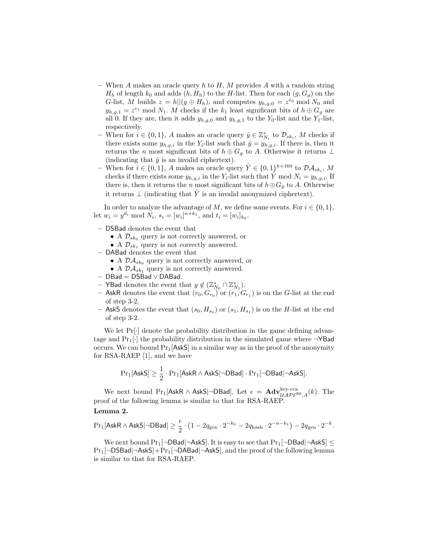- When A makes an oracle query h to  $H, M$  provides A with a random string  $H_h$  of length  $k_0$  and adds  $(h, H_h)$  to the H-list. Then for each  $(g, G_g)$  on the G-list, M builds  $z = h||(g \oplus H_h)$ , and computes  $y_{h,g,0} = z^{e_0} \mod N_0$  and  $y_{h,g,1} = z^{e_1} \mod N_1$ . M checks if the  $k_1$  least significant bits of  $h \oplus G_g$  are all 0. If they are, then it adds  $y_{h,q,0}$  and  $y_{h,q,1}$  to the Y<sub>0</sub>-list and the Y<sub>1</sub>-list, respectively.
- When for  $i \in \{0, 1\}$ , A makes an oracle query  $\hat{y} \in \mathbb{Z}_{N_i}^*$  to  $\mathcal{D}_{sk_i}$ , M checks if there exists some  $y_{h,g,i}$  in the  $Y_i$ -list such that  $\hat{y} = y_{h,g,i}$ . If there is, then it returns the *n* most significant bits of  $h \oplus G_g$  to A. Otherwise it returns  $\perp$ (indicating that  $\hat{y}$  is an invalid ciphertext).
- When for  $i \in \{0,1\}$ , A makes an oracle query  $\hat{Y} \in \{0,1\}^{k+160}$  to  $\mathcal{DA}_{sk_i}$ , M checks if there exists some  $y_{h,g,i}$  in the Y<sub>i</sub>-list such that Y<sup>°</sup> mod  $N_i = y_{h,g,i}$ . If there is, then it returns the *n* most significant bits of  $h \oplus G_g$  to A. Otherwise it returns  $\perp$  (indicating that  $\hat{Y}$  is an invalid anonymized ciphertext).

In order to analyze the advantage of M, we define some events. For  $i \in \{0, 1\}$ , let  $w_i = y^{d_i} \bmod N_i$ ,  $s_i = [w_i]^{n+k_1}$ , and  $t_i = [w_i]_{k_0}$ .

- DSBad denotes the event that
	- A  $\mathcal{D}_{sk_0}$  query is not correctly answered, or
	- A  $\mathcal{D}_{sk_1}$  query is not correctly answered.
- DABad denotes the event that
	- A  $\mathcal{D}\mathcal{A}_{sk_0}$  query is not correctly answered, or
	- A  $\mathcal{D}\mathcal{A}_{sk_1}$  query is not correctly answered.
- $–$  DBad  $=$  DSBad  $\vee$  DABad.
- − YBad denotes the event that  $y \notin (\mathbb{Z}_{N_0}^* \cap \mathbb{Z}_{N_1}^*).$
- AskR denotes the event that  $(r_0, G_{r_0})$  or  $(r_1, G_{r_1})$  is on the G-list at the end of step 3-2.
- $-$  AskS denotes the event that  $(s_0, H_{s_0})$  or  $(s_1, H_{s_1})$  is on the H-list at the end of step 3-2.

We let  $Pr[\cdot]$  denote the probability distribution in the game defining advantage and  $Pr_1[\cdot]$  the probability distribution in the simulated game where  $\neg$ YBad occurs. We can bound  $Pr_1[AskS]$  in a similar way as in the proof of the anonymity for RSA-RAEP [1], and we have

$$
\Pr_1[\mathsf{AskS}] \geq \frac{1}{2} \cdot \Pr_1[\mathsf{AskR} \wedge \mathsf{AskS} | \neg \mathsf{DBad}] \cdot \Pr_1[\neg \mathsf{DBad} | \neg \mathsf{AskS}].
$$

We next bound Pr<sub>1</sub>[AskR ∧ AskS|¬DBad]. Let  $\epsilon = \text{Adv}_{\mathcal{UAPE}^{\text{key-cca}}\mathcal{A}}^{key-cca}(k)$ . The proof of the following lemma is similar to that for RSA-RAEP.

#### Lemma 2.

$$
\Pr\nolimits_1[\mathsf{AskR}\wedge\mathsf{AskS}|\neg\mathsf{DBad}]\geq \frac{\epsilon}{2}\cdot\left(1-2q_{\mathrm{gen}}\cdot 2^{-k_0}-2q_{\mathrm{hash}}\cdot 2^{-n-k_1}\right)-2q_{\mathrm{gen}}\cdot 2^{-k}.
$$

We next bound  $Pr_1[\neg DBad|\neg AskS]$ . It is easy to see that  $Pr_1[\neg DBad|\neg AskS] \le$  $Pr_1[\neg$ DSBad $|\neg$ AskS $]+Pr_1[\neg$ DABad $|\neg$ AskS $]$ , and the proof of the following lemma is similar to that for RSA-RAEP.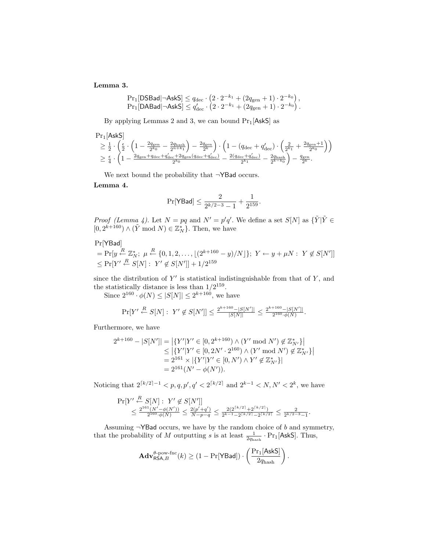Lemma 3.

$$
\Pr_1[\text{DSBad} | \neg \text{AskS}] \leq q_{\text{dec}} \cdot \left(2 \cdot 2^{-k_1} + (2q_{\text{gen}} + 1) \cdot 2^{-k_0}\right),
$$
  
\n
$$
\Pr_1[\text{DABA} | \neg \text{AskS}] \leq q_{\text{dec}}' \cdot \left(2 \cdot 2^{-k_1} + (2q_{\text{gen}} + 1) \cdot 2^{-k_0}\right).
$$

By applying Lemmas 2 and 3, we can bound  $Pr_1[AskS]$  as

$$
\begin{array}{l} \Pr_1[\mathsf{AskS}] \\ \geq \frac{1}{2} \cdot \left( \frac{\epsilon}{2} \cdot \left( 1 - \frac{2q_{\rm gen}}{2^{k_0}} - \frac{2q_{\rm hash}}{2^{n+k_1}} \right) - \frac{2q_{\rm gen}}{2^k} \right) \cdot \left( 1 - (q_{\rm dec} + q'_{\rm dec}) \cdot \left( \frac{2}{2^{k_1}} + \frac{2q_{\rm gen}+1}{2^{k_0}} \right) \right) \\ \geq \frac{\epsilon}{4} \cdot \left( 1 - \frac{2q_{\rm gen} + q_{\rm dec} + q'_{\rm dec} + 2q_{\rm gen}(q_{\rm dec} + q'_{\rm dec})}{2^{k_0}} - \frac{2(q_{\rm dec} + q'_{\rm dec})}{2^{k_1}} - \frac{2q_{\rm hash}}{2^{k-k_0}} \right) - \frac{q_{\rm gen}}{2^k}. \end{array}
$$

We next bound the probability that ¬YBad occurs.

Lemma 4.

$$
\Pr[\mathsf{YBad}] \leq \frac{2}{2^{k/2-3}-1} + \frac{1}{2^{159}}.
$$

*Proof (Lemma 4)*. Let  $N = pq$  and  $N' = p'q'$ . We define a set  $S[N]$  as  $\{\tilde{Y}|\tilde{Y} \in$  $[0, 2^{k+160}) \wedge (\tilde{Y} \mod N) \in \mathbb{Z}_N^*$ . Then, we have

Pr[YBad]  $= Pr[y \stackrel{R}{\leftarrow} \mathbb{Z}_N^*; \mu \stackrel{R}{\leftarrow} \{0, 1, 2, \ldots, \lfloor (2^{k+160} - y)/N \rfloor\}; Y \leftarrow y + \mu N: Y \not\in S[N']]$  $\leq \Pr[Y' \stackrel{R}{\leftarrow} S[N]: Y' \notin S[N'] \, 1 + 1/2^{159}$ 

since the distribution of  $Y'$  is statistical indistinguishable from that of  $Y$ , and the statistically distance is less than  $1/2^{159}$ .

Since  $2^{160} \cdot \phi(N) \leq |S[N]| \leq 2^{k+160}$ , we have

$$
\Pr[Y' \stackrel{R}{\leftarrow} S[N]: \ Y' \not\in S[N'] ] \leq \frac{2^{k+160} - |S[N']|}{|S[N]|} \leq \frac{2^{k+160} - |S[N']|}{2^{160} \cdot \phi(N)}.
$$

Furthermore, we have

$$
2^{k+160} - |S[N']| = |\{Y'|Y' \in [0, 2^{k+160}) \land (Y' \mod N') \notin \mathbb{Z}_{N'}^*\}|
$$
  
\n
$$
\leq |\{Y'|Y' \in [0, 2N' \cdot 2^{160}) \land (Y' \mod N') \notin \mathbb{Z}_{N'}^*\}|
$$
  
\n
$$
= 2^{161} \times |\{Y'|Y' \in [0, N') \land Y' \notin \mathbb{Z}_{N'}^*\}|
$$
  
\n
$$
= 2^{161}(N' - \phi(N')).
$$

Noticing that  $2^{\lceil k/2 \rceil - 1} < p, q, p', q' < 2^{\lceil k/2 \rceil}$  and  $2^{k-1} < N, N' < 2^k$ , we have

$$
\Pr[Y' \stackrel{R}{\leftarrow} S[N] : Y' \not\in S[N']]
$$
  

$$
\leq \frac{2^{161}(N' - \phi(N'))}{2^{160} \cdot \phi(N)} \leq \frac{2(p' + q')}{N - p - q} \leq \frac{2(2^{\lceil k/2 \rceil} + 2^{\lceil k/2 \rceil})}{2^{k - 1} - 2^{\lceil k/2 \rceil} - 2^{\lceil k/2 \rceil}} \leq \frac{2}{2^{k/2 - 3} - 1}
$$

.

Assuming  $\neg$ YBad occurs, we have by the random choice of b and symmetry, that the probability of M outputting s is at least  $\frac{1}{2q_{\text{hash}}} \cdot \Pr_1[\text{AskS}]$ . Thus,

$$
\mathbf{Adv}_{\mathsf{RSA},B}^{\theta\text{-pow-fnc}}(k) \geq (1 - \Pr[\mathsf{YBad}]) \cdot \left(\frac{\Pr_1[\mathsf{AskS}]}{2q_{\text{hash}}}\right).
$$